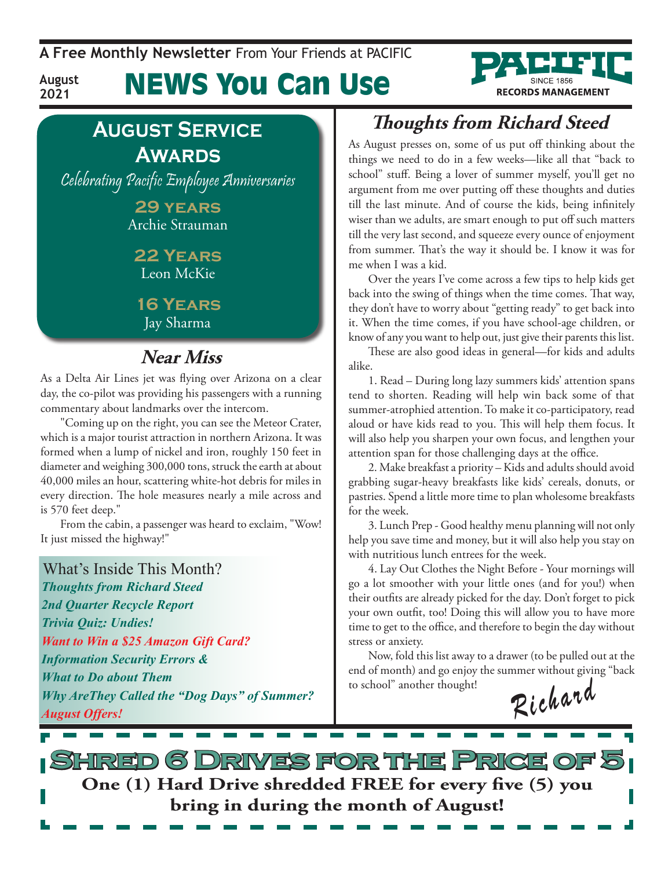**A Free Monthly Newsletter** From Your Friends at Pacific

## News You Can Use



### **August Service Awards**

**August 2021**

Celebrating Pacific Employee Anniversaries

**29 years** Archie Strauman

**22 Years** Leon McKie

**16 Years** Jay Sharma

#### **Near Miss**

As a Delta Air Lines jet was flying over Arizona on a clear day, the co-pilot was providing his passengers with a running commentary about landmarks over the intercom.

"Coming up on the right, you can see the Meteor Crater, which is a major tourist attraction in northern Arizona. It was formed when a lump of nickel and iron, roughly 150 feet in diameter and weighing 300,000 tons, struck the earth at about 40,000 miles an hour, scattering white-hot debris for miles in every direction. The hole measures nearly a mile across and is 570 feet deep."

From the cabin, a passenger was heard to exclaim, "Wow! It just missed the highway!"

What's Inside This Month? *Thoughts from Richard Steed 2nd Quarter Recycle Report Trivia Quiz: Undies! Want to Win a \$25 Amazon Gift Card? Information Security Errors & What to Do about Them Why AreThey Called the "Dog Days" of Summer? Why AreThey Called the "Dog Days" of Summer?*  $\int_{0}^{\infty}$  scnool another thought!<br>August Offers!  $\mathcal{R}$  i chard

### **Thoughts from Richard Steed**

As August presses on, some of us put off thinking about the things we need to do in a few weeks—like all that "back to school" stuff. Being a lover of summer myself, you'll get no argument from me over putting off these thoughts and duties till the last minute. And of course the kids, being infinitely wiser than we adults, are smart enough to put off such matters till the very last second, and squeeze every ounce of enjoyment from summer. That's the way it should be. I know it was for me when I was a kid.

Over the years I've come across a few tips to help kids get back into the swing of things when the time comes. That way, they don't have to worry about "getting ready" to get back into it. When the time comes, if you have school-age children, or know of any you want to help out, just give their parents this list.

These are also good ideas in general—for kids and adults alike.

1. Read – During long lazy summers kids' attention spans tend to shorten. Reading will help win back some of that summer-atrophied attention. To make it co-participatory, read aloud or have kids read to you. This will help them focus. It will also help you sharpen your own focus, and lengthen your attention span for those challenging days at the office.

2. Make breakfast a priority – Kids and adults should avoid grabbing sugar-heavy breakfasts like kids' cereals, donuts, or pastries. Spend a little more time to plan wholesome breakfasts for the week.

3. Lunch Prep - Good healthy menu planning will not only help you save time and money, but it will also help you stay on with nutritious lunch entrees for the week.

4. Lay Out Clothes the Night Before - Your mornings will go a lot smoother with your little ones (and for you!) when their outfits are already picked for the day. Don't forget to pick your own outfit, too! Doing this will allow you to have more time to get to the office, and therefore to begin the day without stress or anxiety.

Now, fold this list away to a drawer (to be pulled out at the end of month) and go enjoy the summer without giving "back to school" another thought!

**Shred 6 Drives for the Price of 5 One (1) Hard Drive shredded FREE for every five (5) you bring in during the month of August!**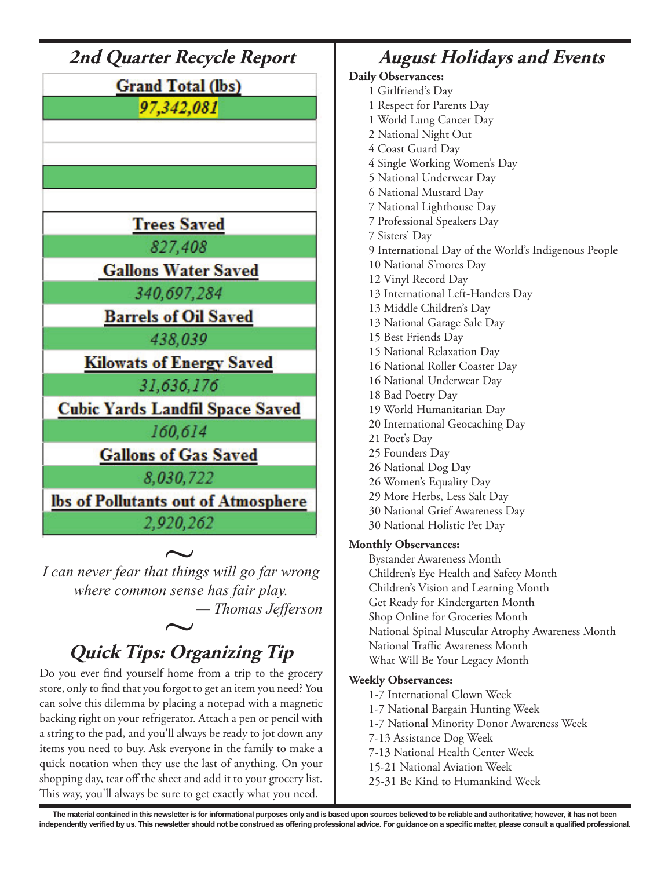

*where common sense has fair play. — Thomas Jefferson*  $\sim$ 

### **Quick Tips: Organizing Tip**

Do you ever find yourself home from a trip to the grocery store, only to find that you forgot to get an item you need? You can solve this dilemma by placing a notepad with a magnetic backing right on your refrigerator. Attach a pen or pencil with a string to the pad, and you'll always be ready to jot down any items you need to buy. Ask everyone in the family to make a quick notation when they use the last of anything. On your shopping day, tear off the sheet and add it to your grocery list. This way, you'll always be sure to get exactly what you need.

**August Holidays and Events Daily Observances:** 1 Girlfriend's Day 1 Respect for Parents Day 1 World Lung Cancer Day 2 National Night Out 4 Coast Guard Day 4 Single Working Women's Day 5 National Underwear Day 6 National Mustard Day 7 National Lighthouse Day 7 Professional Speakers Day 7 Sisters' Day 9 International Day of the World's Indigenous People 10 National S'mores Day 12 Vinyl Record Day 13 International Left-Handers Day 13 Middle Children's Day 13 National Garage Sale Day 15 Best Friends Day 15 National Relaxation Day 16 National Roller Coaster Day 16 National Underwear Day 18 Bad Poetry Day 19 World Humanitarian Day 20 International Geocaching Day 21 Poet's Day 25 Founders Day 26 National Dog Day 26 Women's Equality Day 29 More Herbs, Less Salt Day 30 National Grief Awareness Day 30 National Holistic Pet Day

#### **Monthly Observances:**

Bystander Awareness Month Children's Eye Health and Safety Month Children's Vision and Learning Month Get Ready for Kindergarten Month Shop Online for Groceries Month National Spinal Muscular Atrophy Awareness Month National Traffic Awareness Month What Will Be Your Legacy Month

#### **Weekly Observances:**

1-7 International Clown Week

- 1-7 National Bargain Hunting Week
- 1-7 National Minority Donor Awareness Week
- 7-13 Assistance Dog Week
- 7-13 National Health Center Week
- 15-21 National Aviation Week
- 25-31 Be Kind to Humankind Week

**The material contained in this newsletter is for informational purposes only and is based upon sources believed to be reliable and authoritative; however, it has not been**  independently verified by us. This newsletter should not be construed as offering professional advice. For guidance on a specific matter, please consult a qualified professional.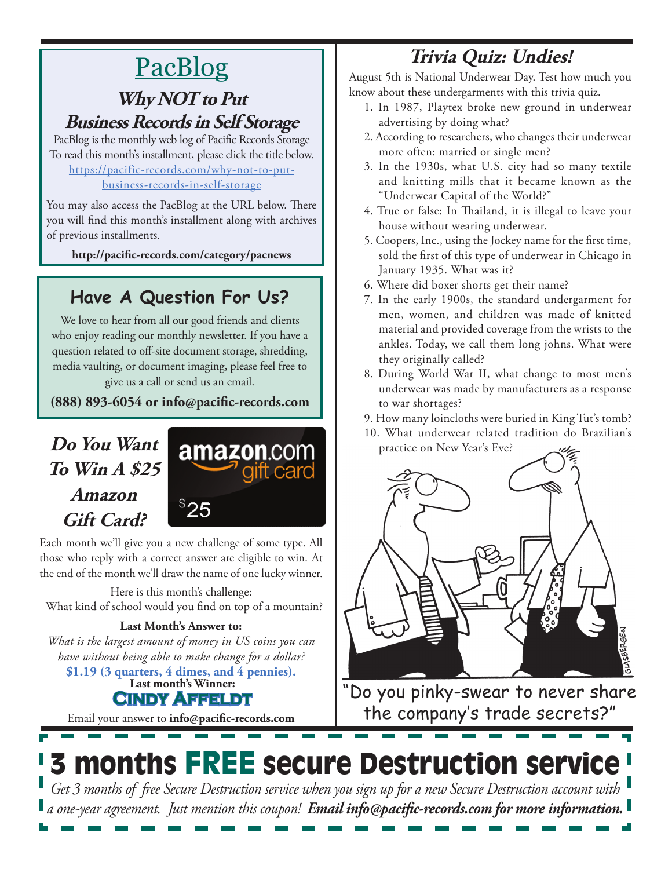# PacBlog

#### **Why NOT to Put Business Records in Self Storage**

PacBlog is the monthly web log of Pacific Records Storage To read this month's installment, please click the title below[.](http://pacific-records.com/5-advantages-of-a-local-shredding-and-destruction-provider) [https://pacific-records.com/why-not-to-put](https://pacific-records.com/why-not-to-put-business-records-in-self-storage)[business-records-in-self-storage](https://pacific-records.com/why-not-to-put-business-records-in-self-storage)

You may also access the PacBlog at the URL below. There you will find this month's installment along with archives of previous installments.

**http://pacific-records.com/category/pacnews**

### **Have A Question For Us?**

We love to hear from all our good friends and clients who enjoy reading our monthly newsletter. If you have a question related to off-site document storage, shredding, media vaulting, or document imaging, please feel free to give us a call or send us an email.

**(888) 893-6054 or info@pacific-records.com**

### **Do You Want To Win A \$25 Amazon Gift Card?**



Each month we'll give you a new challenge of some type. All those who reply with a correct answer are eligible to win. At the end of the month we'll draw the name of one lucky winner.

Here is this month's challenge: What kind of school would you find on top of a mountain?

#### **Last Month's Answer to:**

*What is the largest amount of money in US coins you can have without being able to make change for a dollar?*

**Last month's Winner: Cindy Affeldt \$1.19 (3 quarters, 4 dimes, and 4 pennies).**

Email your answer to **info@pacific-records.com**

### **Trivia Quiz: Undies!**

August 5th is National Underwear Day. Test how much you know about these undergarments with this trivia quiz.

- 1. In 1987, Playtex broke new ground in underwear advertising by doing what?
- 2. According to researchers, who changes their underwear more often: married or single men?
- 3. In the 1930s, what U.S. city had so many textile and knitting mills that it became known as the "Underwear Capital of the World?"
- 4. True or false: In Thailand, it is illegal to leave your house without wearing underwear.
- 5. Coopers, Inc., using the Jockey name for the first time, sold the first of this type of underwear in Chicago in January 1935. What was it?
- 6. Where did boxer shorts get their name?
- 7. In the early 1900s, the standard undergarment for men, women, and children was made of knitted material and provided coverage from the wrists to the ankles. Today, we call them long johns. What were they originally called?
- 8. During World War II, what change to most men's underwear was made by manufacturers as a response to war shortages?
- 9. How many loincloths were buried in King Tut's tomb?
- 10. What underwear related tradition do Brazilian's practice on New Year's Eve?



"Do you pinky-swear to never share the company's trade secrets?"

# 3 months FREE secure Destruction service

*Get 3 months of free Secure Destruction service when you sign up for a new Secure Destruction account with a one-year agreement. Just mention this coupon! Email info@pacific-records.com for more information.*